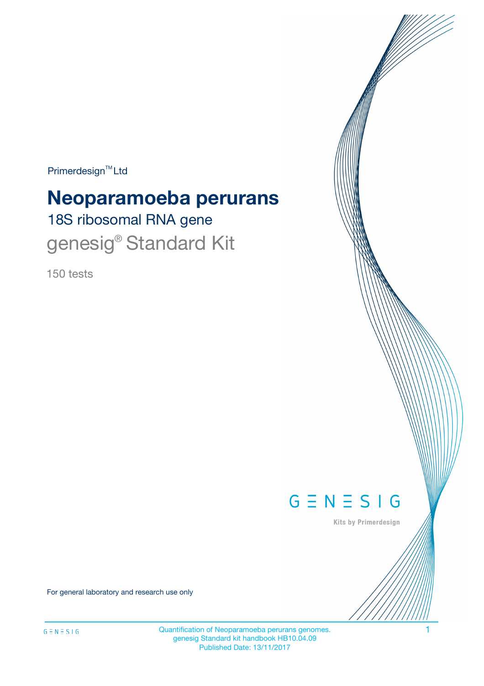Primerdesign<sup>™</sup>Ltd

# **Neoparamoeba perurans**

18S ribosomal RNA gene genesig<sup>®</sup> Standard Kit

150 tests



Kits by Primerdesign

For general laboratory and research use only

Quantification of Neoparamoeba perurans genomes. The matrix of  $1$ genesig Standard kit handbook HB10.04.09 Published Date: 13/11/2017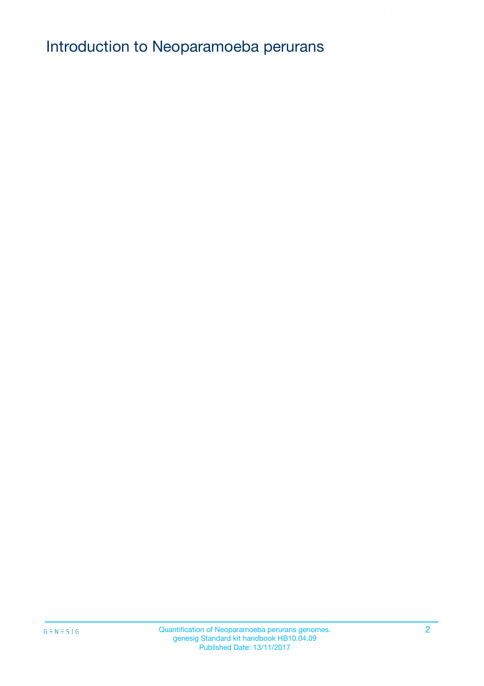# Introduction to Neoparamoeba perurans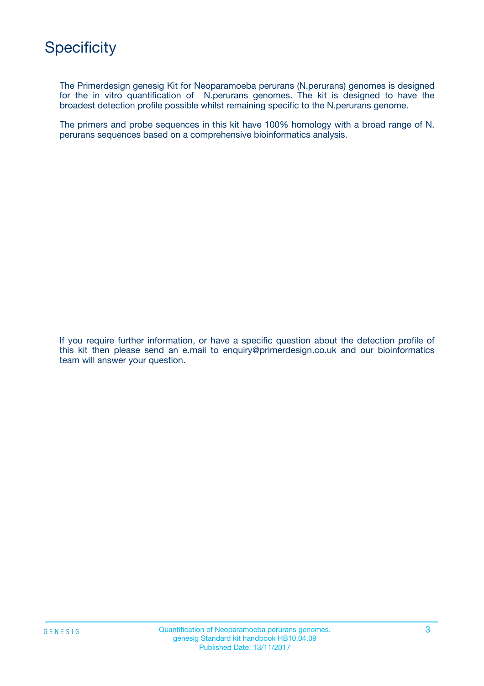# **Specificity**

The Primerdesign genesig Kit for Neoparamoeba perurans (N.perurans) genomes is designed for the in vitro quantification of N.perurans genomes. The kit is designed to have the broadest detection profile possible whilst remaining specific to the N.perurans genome.

The primers and probe sequences in this kit have 100% homology with a broad range of N. perurans sequences based on a comprehensive bioinformatics analysis.

If you require further information, or have a specific question about the detection profile of this kit then please send an e.mail to enquiry@primerdesign.co.uk and our bioinformatics team will answer your question.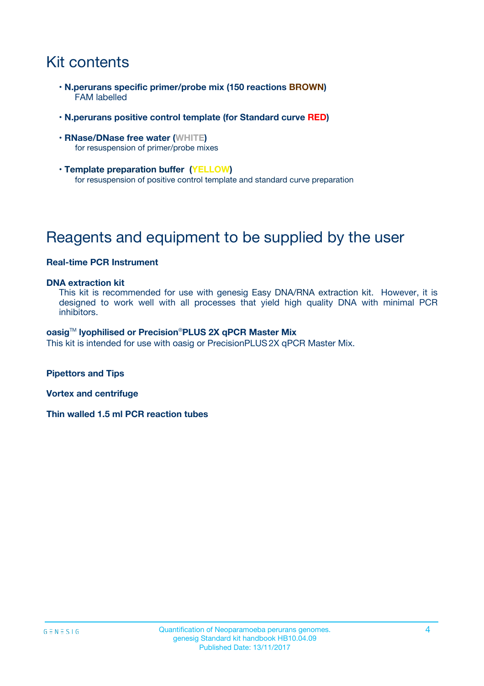# Kit contents

- **N.perurans specific primer/probe mix (150 reactions BROWN)** FAM labelled
- **N.perurans positive control template (for Standard curve RED)**
- **RNase/DNase free water (WHITE)** for resuspension of primer/probe mixes
- **Template preparation buffer (YELLOW)** for resuspension of positive control template and standard curve preparation

# Reagents and equipment to be supplied by the user

#### **Real-time PCR Instrument**

#### **DNA extraction kit**

This kit is recommended for use with genesig Easy DNA/RNA extraction kit. However, it is designed to work well with all processes that yield high quality DNA with minimal PCR inhibitors.

#### **oasig**TM **lyophilised or Precision**®**PLUS 2X qPCR Master Mix**

This kit is intended for use with oasig or PrecisionPLUS2X qPCR Master Mix.

**Pipettors and Tips**

**Vortex and centrifuge**

**Thin walled 1.5 ml PCR reaction tubes**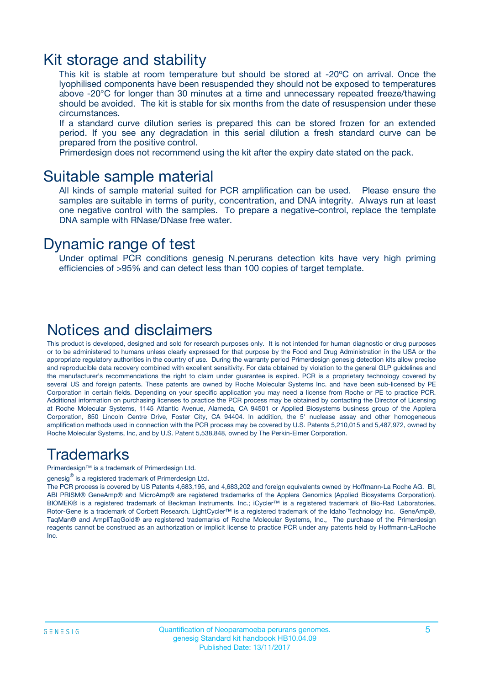### Kit storage and stability

This kit is stable at room temperature but should be stored at -20ºC on arrival. Once the lyophilised components have been resuspended they should not be exposed to temperatures above -20°C for longer than 30 minutes at a time and unnecessary repeated freeze/thawing should be avoided. The kit is stable for six months from the date of resuspension under these circumstances.

If a standard curve dilution series is prepared this can be stored frozen for an extended period. If you see any degradation in this serial dilution a fresh standard curve can be prepared from the positive control.

Primerdesign does not recommend using the kit after the expiry date stated on the pack.

### Suitable sample material

All kinds of sample material suited for PCR amplification can be used. Please ensure the samples are suitable in terms of purity, concentration, and DNA integrity. Always run at least one negative control with the samples. To prepare a negative-control, replace the template DNA sample with RNase/DNase free water.

### Dynamic range of test

Under optimal PCR conditions genesig N.perurans detection kits have very high priming efficiencies of >95% and can detect less than 100 copies of target template.

### Notices and disclaimers

This product is developed, designed and sold for research purposes only. It is not intended for human diagnostic or drug purposes or to be administered to humans unless clearly expressed for that purpose by the Food and Drug Administration in the USA or the appropriate regulatory authorities in the country of use. During the warranty period Primerdesign genesig detection kits allow precise and reproducible data recovery combined with excellent sensitivity. For data obtained by violation to the general GLP guidelines and the manufacturer's recommendations the right to claim under guarantee is expired. PCR is a proprietary technology covered by several US and foreign patents. These patents are owned by Roche Molecular Systems Inc. and have been sub-licensed by PE Corporation in certain fields. Depending on your specific application you may need a license from Roche or PE to practice PCR. Additional information on purchasing licenses to practice the PCR process may be obtained by contacting the Director of Licensing at Roche Molecular Systems, 1145 Atlantic Avenue, Alameda, CA 94501 or Applied Biosystems business group of the Applera Corporation, 850 Lincoln Centre Drive, Foster City, CA 94404. In addition, the 5' nuclease assay and other homogeneous amplification methods used in connection with the PCR process may be covered by U.S. Patents 5,210,015 and 5,487,972, owned by Roche Molecular Systems, Inc, and by U.S. Patent 5,538,848, owned by The Perkin-Elmer Corporation.

### Trademarks

Primerdesign™ is a trademark of Primerdesign Ltd.

genesig $^\circledR$  is a registered trademark of Primerdesign Ltd.

The PCR process is covered by US Patents 4,683,195, and 4,683,202 and foreign equivalents owned by Hoffmann-La Roche AG. BI, ABI PRISM® GeneAmp® and MicroAmp® are registered trademarks of the Applera Genomics (Applied Biosystems Corporation). BIOMEK® is a registered trademark of Beckman Instruments, Inc.; iCycler™ is a registered trademark of Bio-Rad Laboratories, Rotor-Gene is a trademark of Corbett Research. LightCycler™ is a registered trademark of the Idaho Technology Inc. GeneAmp®, TaqMan® and AmpliTaqGold® are registered trademarks of Roche Molecular Systems, Inc., The purchase of the Primerdesign reagents cannot be construed as an authorization or implicit license to practice PCR under any patents held by Hoffmann-LaRoche Inc.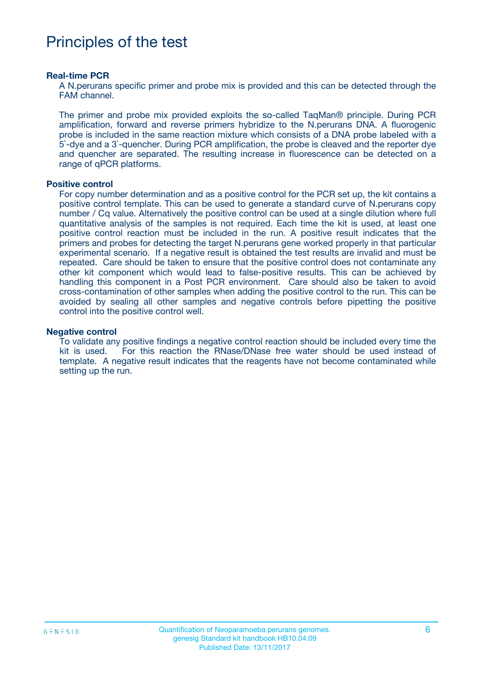## Principles of the test

#### **Real-time PCR**

A N.perurans specific primer and probe mix is provided and this can be detected through the FAM channel.

The primer and probe mix provided exploits the so-called TaqMan® principle. During PCR amplification, forward and reverse primers hybridize to the N.perurans DNA. A fluorogenic probe is included in the same reaction mixture which consists of a DNA probe labeled with a 5`-dye and a 3`-quencher. During PCR amplification, the probe is cleaved and the reporter dye and quencher are separated. The resulting increase in fluorescence can be detected on a range of qPCR platforms.

#### **Positive control**

For copy number determination and as a positive control for the PCR set up, the kit contains a positive control template. This can be used to generate a standard curve of N.perurans copy number / Cq value. Alternatively the positive control can be used at a single dilution where full quantitative analysis of the samples is not required. Each time the kit is used, at least one positive control reaction must be included in the run. A positive result indicates that the primers and probes for detecting the target N.perurans gene worked properly in that particular experimental scenario. If a negative result is obtained the test results are invalid and must be repeated. Care should be taken to ensure that the positive control does not contaminate any other kit component which would lead to false-positive results. This can be achieved by handling this component in a Post PCR environment. Care should also be taken to avoid cross-contamination of other samples when adding the positive control to the run. This can be avoided by sealing all other samples and negative controls before pipetting the positive control into the positive control well.

#### **Negative control**

To validate any positive findings a negative control reaction should be included every time the kit is used. For this reaction the RNase/DNase free water should be used instead of template. A negative result indicates that the reagents have not become contaminated while setting up the run.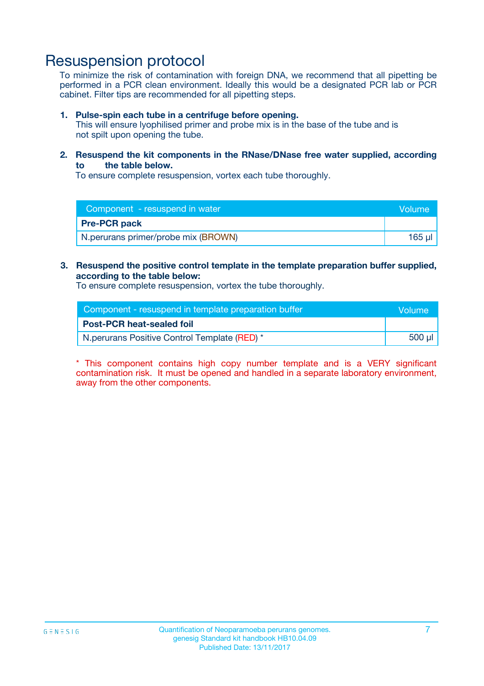### Resuspension protocol

To minimize the risk of contamination with foreign DNA, we recommend that all pipetting be performed in a PCR clean environment. Ideally this would be a designated PCR lab or PCR cabinet. Filter tips are recommended for all pipetting steps.

#### **1. Pulse-spin each tube in a centrifuge before opening.**

This will ensure lyophilised primer and probe mix is in the base of the tube and is not spilt upon opening the tube.

#### **2. Resuspend the kit components in the RNase/DNase free water supplied, according to the table below.**

To ensure complete resuspension, vortex each tube thoroughly.

| Component - resuspend in water      |        |
|-------------------------------------|--------|
| <b>Pre-PCR pack</b>                 |        |
| N.perurans primer/probe mix (BROWN) | 165 ul |

### **3. Resuspend the positive control template in the template preparation buffer supplied, according to the table below:**

To ensure complete resuspension, vortex the tube thoroughly.

| Component - resuspend in template preparation buffer |        |  |
|------------------------------------------------------|--------|--|
| <b>Post-PCR heat-sealed foil</b>                     |        |  |
| N. perurans Positive Control Template (RED) *        | 500 µl |  |

\* This component contains high copy number template and is a VERY significant contamination risk. It must be opened and handled in a separate laboratory environment, away from the other components.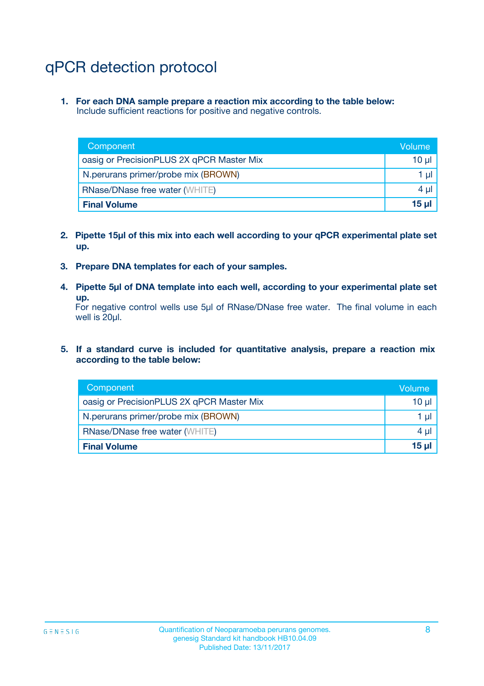# qPCR detection protocol

**1. For each DNA sample prepare a reaction mix according to the table below:** Include sufficient reactions for positive and negative controls.

| Component                                 | Volume           |
|-------------------------------------------|------------------|
| oasig or PrecisionPLUS 2X qPCR Master Mix | 10 $\mu$         |
| N.perurans primer/probe mix (BROWN)       | 1 $\mu$          |
| <b>RNase/DNase free water (WHITE)</b>     | $4 \mu$          |
| <b>Final Volume</b>                       | 15 <sub>ul</sub> |

- **2. Pipette 15µl of this mix into each well according to your qPCR experimental plate set up.**
- **3. Prepare DNA templates for each of your samples.**
- **4. Pipette 5µl of DNA template into each well, according to your experimental plate set up.**

For negative control wells use 5µl of RNase/DNase free water. The final volume in each well is 20µl.

**5. If a standard curve is included for quantitative analysis, prepare a reaction mix according to the table below:**

| Component                                 | Volume     |
|-------------------------------------------|------------|
| oasig or PrecisionPLUS 2X qPCR Master Mix | 10 µl      |
| N.perurans primer/probe mix (BROWN)       | 1 µI       |
| <b>RNase/DNase free water (WHITE)</b>     | $4 \mu$    |
| <b>Final Volume</b>                       | $15$ $\mu$ |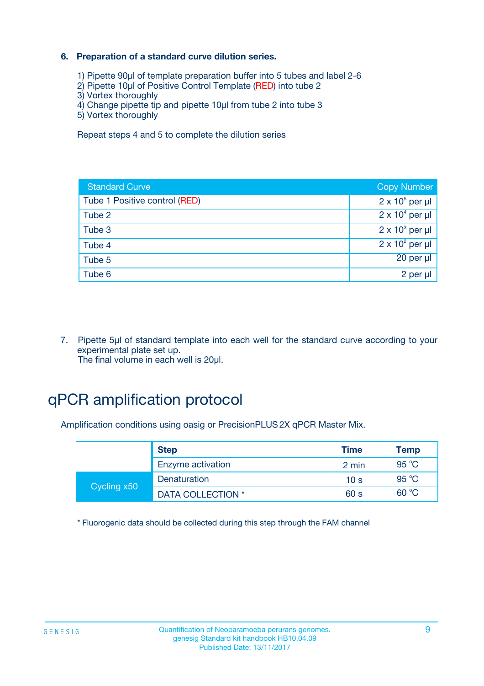### **6. Preparation of a standard curve dilution series.**

- 1) Pipette 90µl of template preparation buffer into 5 tubes and label 2-6
- 2) Pipette 10µl of Positive Control Template (RED) into tube 2
- 3) Vortex thoroughly
- 4) Change pipette tip and pipette 10µl from tube 2 into tube 3
- 5) Vortex thoroughly

Repeat steps 4 and 5 to complete the dilution series

| <b>Standard Curve</b>         | <b>Copy Number</b>     |
|-------------------------------|------------------------|
| Tube 1 Positive control (RED) | $2 \times 10^5$ per µl |
| Tube 2                        | $2 \times 10^4$ per µl |
| Tube 3                        | $2 \times 10^3$ per µl |
| Tube 4                        | $2 \times 10^2$ per µl |
| Tube 5                        | $20$ per $\mu$         |
| Tube 6                        | 2 per µl               |

7. Pipette 5µl of standard template into each well for the standard curve according to your experimental plate set up. The final volume in each well is 20µl.

## qPCR amplification protocol

Amplification conditions using oasig or PrecisionPLUS2X qPCR Master Mix.

| <b>Step</b> |                   | <b>Time</b>     | <b>Temp</b>    |
|-------------|-------------------|-----------------|----------------|
|             | Enzyme activation | 2 min           | $95^{\circ}$ C |
| Cycling x50 | Denaturation      | 10 <sub>s</sub> | 95 °C          |
|             | DATA COLLECTION * | 60 s            | 60 °C          |

\* Fluorogenic data should be collected during this step through the FAM channel